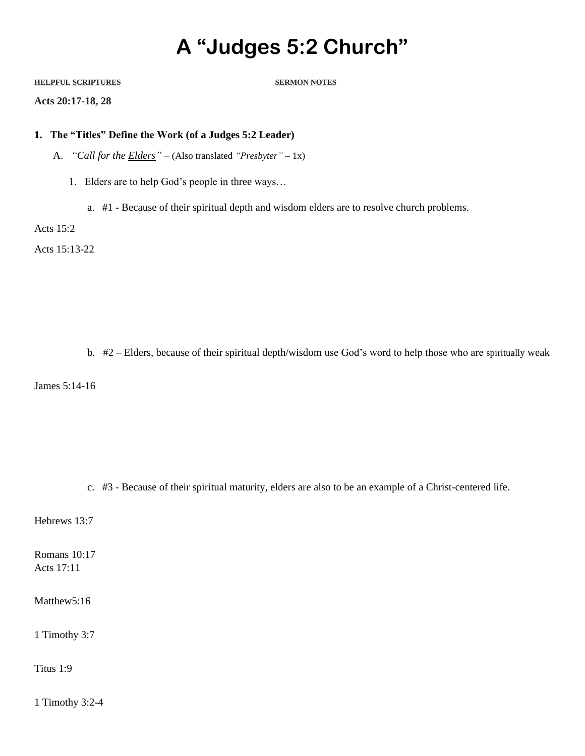## **A "Judges 5:2 Church"**

## **HELPFUL SCRIPTURES SERMON NOTES**

**Acts 20:17-18, 28**

## **1. The "Titles" Define the Work (of a Judges 5:2 Leader)**

- A. *"Call for the Elders" –* (Also translated *"Presbyter"* 1x)
	- 1. Elders are to help God's people in three ways…
		- a. #1 Because of their spiritual depth and wisdom elders are to resolve church problems.

Acts 15:2

Acts 15:13-22

b. #2 – Elders, because of their spiritual depth/wisdom use God's word to help those who are spiritually weak

James 5:14-16

c. #3 - Because of their spiritual maturity, elders are also to be an example of a Christ-centered life.

Hebrews 13:7

Romans 10:17 Acts 17:11

Matthew5:16

1 Timothy 3:7

Titus 1:9

1 Timothy 3:2-4